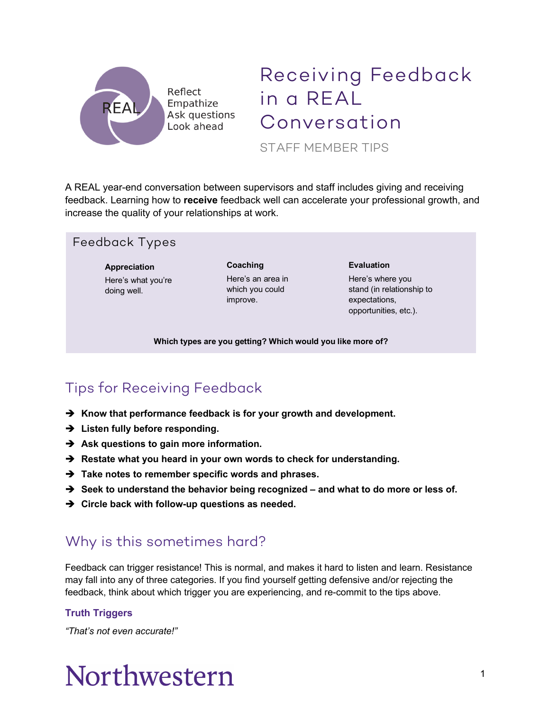

## Receiving Feedback in a REAL Conversation

STAFF MEMBER TIPS

A REAL year-end conversation between supervisors and staff includes giving and receiving feedback. Learning how to **receive** feedback well can accelerate your professional growth, and increase the quality of your relationships at work.

#### Feedback Types

**Appreciation** Here's what you're doing well.

**Coaching** Here's an area in which you could improve.

#### **Evaluation**

Here's where you stand (in relationship to expectations, opportunities, etc.).

**Which types are you getting? Which would you like more of?**

## Tips for Receiving Feedback

- è **Know that performance feedback is for your growth and development.**
- $→$  Listen fully before responding.
- $→$  Ask questions to gain more information.
- $→$  Restate what you heard in your own words to check for understanding.
- è **Take notes to remember specific words and phrases.**
- è **Seek to understand the behavior being recognized – and what to do more or less of.**
- $\rightarrow$  Circle back with follow-up questions as needed.

### Why is this sometimes hard?

Feedback can trigger resistance! This is normal, and makes it hard to listen and learn. Resistance may fall into any of three categories. If you find yourself getting defensive and/or rejecting the feedback, think about which trigger you are experiencing, and re-commit to the tips above.

#### **Truth Triggers**

*"That's not even accurate!"*

# Northwestern